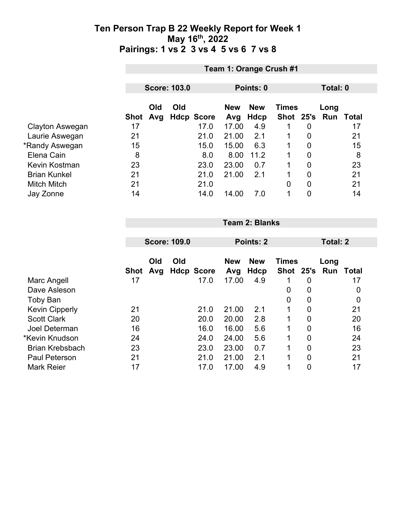|                     |             | Team 1: Orange Crush #1 |                     |                   |            |            |               |                |          |       |  |  |
|---------------------|-------------|-------------------------|---------------------|-------------------|------------|------------|---------------|----------------|----------|-------|--|--|
|                     |             |                         |                     |                   |            |            |               |                |          |       |  |  |
|                     |             |                         | <b>Score: 103.0</b> |                   | Points: 0  |            |               |                | Total: 0 |       |  |  |
|                     |             |                         |                     |                   |            |            |               |                |          |       |  |  |
|                     |             | Old                     | Old                 |                   | <b>New</b> | <b>New</b> | <b>Times</b>  |                | Long     |       |  |  |
|                     | <b>Shot</b> | Avg                     |                     | <b>Hdcp Score</b> | Avg        | Hdcp       | Shot 25's Run |                |          | Total |  |  |
| Clayton Aswegan     | 17          |                         |                     | 17.0              | 17.00      | 4.9        |               | 0              |          | 17    |  |  |
| Laurie Aswegan      | 21          |                         |                     | 21.0              | 21.00      | 2.1        | $\mathbf 1$   | 0              |          | 21    |  |  |
| *Randy Aswegan      | 15          |                         |                     | 15.0              | 15.00      | 6.3        | 1             | 0              |          | 15    |  |  |
| Elena Cain          | 8           |                         |                     | 8.0               | 8.00       | 11.2       |               | $\overline{0}$ |          | 8     |  |  |
| Kevin Kostman       | 23          |                         |                     | 23.0              | 23.00      | 0.7        | 1             | $\overline{0}$ |          | 23    |  |  |
| <b>Brian Kunkel</b> | 21          |                         |                     | 21.0              | 21.00      | 2.1        | 1             | $\Omega$       |          | 21    |  |  |
| <b>Mitch Mitch</b>  | 21          |                         |                     | 21.0              |            |            | 0             | $\overline{0}$ |          | 21    |  |  |
| Jay Zonne           | 14          |                         |                     | 14.0              | 14.00      | 7.0        | 1             | $\overline{0}$ |          | 14    |  |  |
|                     |             |                         |                     |                   |            |            |               |                |          |       |  |  |

|                        |             |            | <b>Score: 109.0</b> |                   | Points: 2         |                    | Total: 2                    |                |             |       |
|------------------------|-------------|------------|---------------------|-------------------|-------------------|--------------------|-----------------------------|----------------|-------------|-------|
|                        | <b>Shot</b> | Old<br>Avg | Old                 | <b>Hdcp Score</b> | <b>New</b><br>Avg | <b>New</b><br>Hdcp | <b>Times</b><br><b>Shot</b> | 25's           | Long<br>Run | Total |
| Marc Angell            | 17          |            |                     | 17.0              | 17.00             | 4.9                |                             | 0              |             | 17    |
| Dave Asleson           |             |            |                     |                   |                   |                    | 0                           | 0              |             | 0     |
| <b>Toby Ban</b>        |             |            |                     |                   |                   |                    | 0                           | 0              |             | 0     |
| <b>Kevin Cipperly</b>  | 21          |            |                     | 21.0              | 21.00             | 2.1                | 1                           | $\mathbf 0$    |             | 21    |
| <b>Scott Clark</b>     | 20          |            |                     | 20.0              | 20.00             | 2.8                | 1                           | $\overline{0}$ |             | 20    |
| Joel Determan          | 16          |            |                     | 16.0              | 16.00             | 5.6                | 1                           | $\mathbf 0$    |             | 16    |
| *Kevin Knudson         | 24          |            |                     | 24.0              | 24.00             | 5.6                | 1                           | $\overline{0}$ |             | 24    |
| <b>Brian Krebsbach</b> | 23          |            |                     | 23.0              | 23.00             | 0.7                | 1                           | $\overline{0}$ |             | 23    |
| <b>Paul Peterson</b>   | 21          |            |                     | 21.0              | 21.00             | 2.1                | 1                           | $\overline{0}$ |             | 21    |
| <b>Mark Reier</b>      | 17          |            |                     | 17.0              | 17.00             | 4.9                |                             | 0              |             | 17    |

**Team 2: Blanks**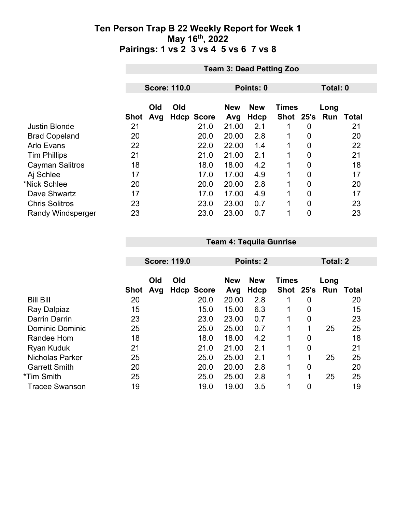|                          |             | <b>Team 3: Dead Petting Zoo</b> |                     |                   |                   |                    |                           |                |                    |       |  |
|--------------------------|-------------|---------------------------------|---------------------|-------------------|-------------------|--------------------|---------------------------|----------------|--------------------|-------|--|
|                          |             |                                 |                     | Total: 0          |                   |                    |                           |                |                    |       |  |
|                          |             |                                 | <b>Score: 110.0</b> |                   |                   | Points: 0          |                           |                |                    |       |  |
|                          | <b>Shot</b> | Old<br>Avg                      | Old                 | <b>Hdcp Score</b> | <b>New</b><br>Avg | <b>New</b><br>Hdcp | <b>Times</b><br>Shot 25's |                | Long<br><b>Run</b> | Total |  |
| <b>Justin Blonde</b>     | 21          |                                 |                     | 21.0              | 21.00             | 2.1                |                           | 0              |                    | 21    |  |
| <b>Brad Copeland</b>     | 20          |                                 |                     | 20.0              | 20.00             | 2.8                | 1                         | $\overline{0}$ |                    | 20    |  |
| Arlo Evans               | 22          |                                 |                     | 22.0              | 22.00             | 1.4                | 1                         | $\overline{0}$ |                    | 22    |  |
| <b>Tim Phillips</b>      | 21          |                                 |                     | 21.0              | 21.00             | 2.1                | 1                         | $\overline{0}$ |                    | 21    |  |
| <b>Cayman Salitros</b>   | 18          |                                 |                     | 18.0              | 18.00             | 4.2                |                           | $\overline{0}$ |                    | 18    |  |
| Aj Schlee                | 17          |                                 |                     | 17.0              | 17.00             | 4.9                | 1                         | $\overline{0}$ |                    | 17    |  |
| *Nick Schlee             | 20          |                                 |                     | 20.0              | 20.00             | 2.8                |                           | $\mathbf 0$    |                    | 20    |  |
| Dave Shwartz             | 17          |                                 |                     | 17.0              | 17.00             | 4.9                | 1                         | $\overline{0}$ |                    | 17    |  |
| <b>Chris Solitros</b>    | 23          |                                 |                     | 23.0              | 23.00             | 0.7                | 1                         | $\overline{0}$ |                    | 23    |  |
| <b>Randy Windsperger</b> | 23          |                                 |                     | 23.0              | 23.00             | 0.7                |                           | $\overline{0}$ |                    | 23    |  |

|                        |      |            | <b>Score: 119.0</b> |                   | <b>Points: 2</b>  |                    | Total: 2                  |                |                    |       |
|------------------------|------|------------|---------------------|-------------------|-------------------|--------------------|---------------------------|----------------|--------------------|-------|
|                        | Shot | Old<br>Avg | Old                 | <b>Hdcp Score</b> | <b>New</b><br>Avg | <b>New</b><br>Hdcp | <b>Times</b><br>Shot 25's |                | Long<br><b>Run</b> | Total |
| <b>Bill Bill</b>       | 20   |            |                     | 20.0              | 20.00             | 2.8                | 1                         | 0              |                    | 20    |
| Ray Dalpiaz            | 15   |            |                     | 15.0              | 15.00             | 6.3                | 1                         | 0              |                    | 15    |
| Darrin Darrin          | 23   |            |                     | 23.0              | 23.00             | 0.7                | 1                         | 0              |                    | 23    |
| <b>Dominic Dominic</b> | 25   |            |                     | 25.0              | 25.00             | 0.7                | 1                         | 1              | 25                 | 25    |
| Randee Hom             | 18   |            |                     | 18.0              | 18.00             | 4.2                | 1                         | $\overline{0}$ |                    | 18    |
| <b>Ryan Kuduk</b>      | 21   |            |                     | 21.0              | 21.00             | 2.1                | 1                         | $\overline{0}$ |                    | 21    |
| <b>Nicholas Parker</b> | 25   |            |                     | 25.0              | 25.00             | 2.1                | 1                         | 1              | 25                 | 25    |
| <b>Garrett Smith</b>   | 20   |            |                     | 20.0              | 20.00             | 2.8                | 1                         | $\overline{0}$ |                    | 20    |
| *Tim Smith             | 25   |            |                     | 25.0              | 25.00             | 2.8                | 1                         | 1              | 25                 | 25    |
| <b>Tracee Swanson</b>  | 19   |            |                     | 19.0              | 19.00             | 3.5                |                           | $\overline{0}$ |                    | 19    |

**Team 4: Tequila Gunrise**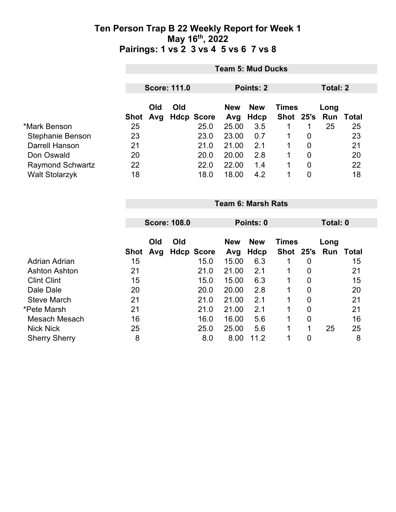|                         |      | <b>Team 5: Mud Ducks</b>                     |     |                   |                                          |      |   |      |               |       |  |
|-------------------------|------|----------------------------------------------|-----|-------------------|------------------------------------------|------|---|------|---------------|-------|--|
|                         |      | <b>Score: 111.0</b><br>Points: 2<br>Total: 2 |     |                   |                                          |      |   |      |               |       |  |
|                         |      |                                              |     |                   |                                          |      |   |      |               |       |  |
|                         |      | Old                                          | Old |                   | <b>New</b><br><b>New</b><br><b>Times</b> |      |   | Long |               |       |  |
|                         | Shot | Avg                                          |     | <b>Hdcp Score</b> | Avg                                      | Hdcp |   |      | Shot 25's Run | Total |  |
| *Mark Benson            | 25   |                                              |     | 25.0              | 25.00                                    | 3.5  |   |      | 25            | 25    |  |
| Stephanie Benson        | 23   |                                              |     | 23.0              | 23.00                                    | 0.7  | 1 | 0    |               | 23    |  |
| Darrell Hanson          | 21   |                                              |     | 21.0              | 21.00                                    | 2.1  |   | 0    |               | 21    |  |
| Don Oswald              | 20   |                                              |     | 20.0              | 20.00                                    | 2.8  |   | 0    |               | 20    |  |
| <b>Raymond Schwartz</b> | 22   |                                              |     | 22.0              | 22.00                                    | 1.4  |   | 0    |               | 22    |  |
| <b>Walt Stolarzyk</b>   | 18   |                                              |     | 18.0              | 18.00                                    | 4.2  |   | 0    |               | 18    |  |

**Team 6: Marsh Rats**

|                      |             |            | <b>Score: 108.0</b>      |      | Points: 0         |                    |                           | Total: 0         |             |       |
|----------------------|-------------|------------|--------------------------|------|-------------------|--------------------|---------------------------|------------------|-------------|-------|
|                      | <b>Shot</b> | Old<br>Avg | Old<br><b>Hdcp Score</b> |      | <b>New</b><br>Avg | <b>New</b><br>Hdcp | <b>Times</b><br>Shot 25's |                  | Long<br>Run | Total |
| Adrian Adrian        | 15          |            |                          | 15.0 | 15.00             | 6.3                |                           | 0                |             | 15    |
| <b>Ashton Ashton</b> | 21          |            |                          | 21.0 | 21.00             | 2.1                | 1                         | $\boldsymbol{0}$ |             | 21    |
| <b>Clint Clint</b>   | 15          |            |                          | 15.0 | 15.00             | 6.3                | 1                         | 0                |             | 15    |
| Dale Dale            | 20          |            |                          | 20.0 | 20.00             | 2.8                | 1                         | $\boldsymbol{0}$ |             | 20    |
| <b>Steve March</b>   | 21          |            |                          | 21.0 | 21.00             | 2.1                | 1                         | $\boldsymbol{0}$ |             | 21    |
| *Pete Marsh          | 21          |            |                          | 21.0 | 21.00             | 2.1                | 1                         | $\overline{0}$   |             | 21    |
| Mesach Mesach        | 16          |            |                          | 16.0 | 16.00             | 5.6                | 1                         | $\boldsymbol{0}$ |             | 16    |
| <b>Nick Nick</b>     | 25          |            |                          | 25.0 | 25.00             | 5.6                | 1                         | 1                | 25          | 25    |
| <b>Sherry Sherry</b> | 8           |            |                          | 8.0  | 8.00              | 11.2               |                           | 0                |             | 8     |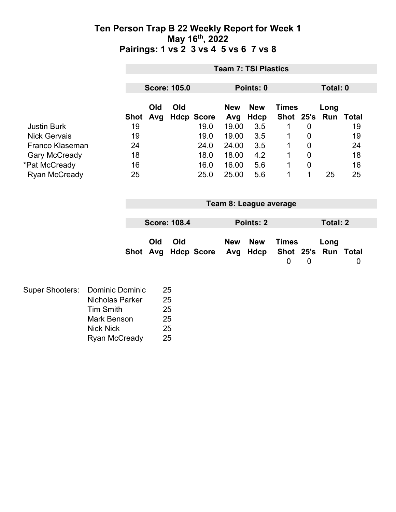|                        |                        |             |          |                     |                   |            | <b>Team 7: TSI Plastics</b> |              |             |                     |             |  |
|------------------------|------------------------|-------------|----------|---------------------|-------------------|------------|-----------------------------|--------------|-------------|---------------------|-------------|--|
|                        |                        |             |          |                     |                   |            |                             |              |             |                     |             |  |
|                        |                        |             |          | <b>Score: 105.0</b> |                   |            | Points: 0                   |              |             | Total: 0            |             |  |
|                        |                        |             | Old      | Old                 |                   | <b>New</b> | <b>New</b>                  | <b>Times</b> |             | Long                |             |  |
|                        |                        | <b>Shot</b> | Avg      |                     | <b>Hdcp Score</b> | Avg        | <b>Hdcp</b>                 | Shot 25's    |             |                     | Run Total   |  |
| <b>Justin Burk</b>     |                        | 19          |          |                     | 19.0              | 19.00      | 3.5                         | $\mathbf 1$  | 0           |                     | 19          |  |
| <b>Nick Gervais</b>    |                        | 19          |          |                     | 19.0              | 19.00      | 3.5                         | 1            | 0           |                     | 19          |  |
| Franco Klaseman        |                        | 24          |          |                     | 24.0              | 24.00      | 3.5                         | 1            | 0           |                     | 24          |  |
| <b>Gary McCready</b>   |                        | 18          |          |                     | 18.0              | 18.00      | 4.2                         | 1            | $\mathbf 0$ |                     | 18          |  |
| *Pat McCready          |                        | 16          |          |                     | 16.0              | 16.00      | 5.6                         | 1            | $\mathbf 0$ |                     | 16          |  |
| Ryan McCready          |                        | 25          |          |                     | 25.0              | 25.00      | 5.6                         | 1            | $\mathbf 1$ | 25                  | 25          |  |
|                        |                        |             |          |                     |                   |            |                             |              |             |                     |             |  |
|                        |                        |             |          |                     |                   |            | Team 8: League average      |              |             |                     |             |  |
|                        |                        |             |          | <b>Score: 108.4</b> |                   |            |                             |              |             |                     |             |  |
|                        |                        |             |          |                     |                   |            | Points: 2                   |              |             | <b>Total: 2</b>     |             |  |
|                        |                        |             | Old      | Old                 |                   | <b>New</b> | <b>New</b>                  | <b>Times</b> |             | Long                |             |  |
|                        |                        |             | Shot Avg |                     | <b>Hdcp Score</b> | Avg        | <b>Hdcp</b>                 | $\mathbf 0$  |             | Shot 25's Run Total |             |  |
|                        |                        |             |          |                     |                   |            |                             |              | $\mathbf 0$ |                     | $\mathbf 0$ |  |
|                        |                        |             |          |                     |                   |            |                             |              |             |                     |             |  |
| <b>Super Shooters:</b> | <b>Dominic Dominic</b> |             |          | 25                  |                   |            |                             |              |             |                     |             |  |
|                        | <b>Nicholas Parker</b> |             |          | 25                  |                   |            |                             |              |             |                     |             |  |
|                        | <b>Tim Smith</b>       |             |          | 25                  |                   |            |                             |              |             |                     |             |  |
|                        | <b>Mark Benson</b>     |             |          | 25                  |                   |            |                             |              |             |                     |             |  |
|                        | <b>Nick Nick</b>       |             |          | 25                  |                   |            |                             |              |             |                     |             |  |
|                        | Ryan McCready          |             |          | 25                  |                   |            |                             |              |             |                     |             |  |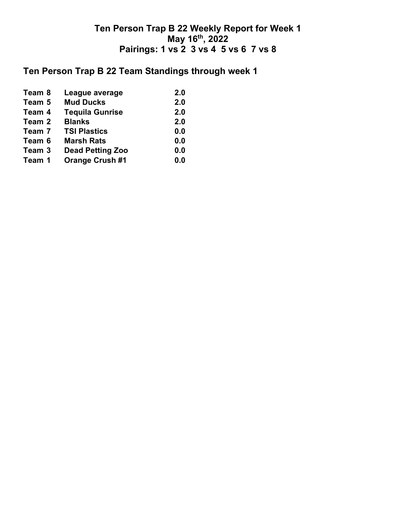# **Ten Person Trap B 22 Team Standings through week 1**

| Team 8 | League average          | 2.0 |
|--------|-------------------------|-----|
| Team 5 | <b>Mud Ducks</b>        | 2.0 |
| Team 4 | <b>Tequila Gunrise</b>  | 2.0 |
| Team 2 | <b>Blanks</b>           | 2.0 |
| Team 7 | <b>TSI Plastics</b>     | 0.0 |
| Team 6 | <b>Marsh Rats</b>       | 0.0 |
| Team 3 | <b>Dead Petting Zoo</b> | 0.0 |
| Team 1 | <b>Orange Crush #1</b>  | 0.0 |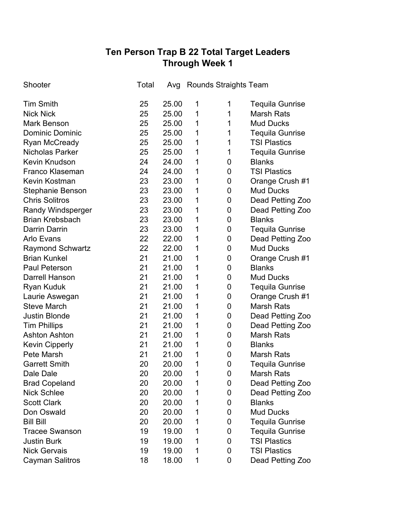# **Ten Person Trap B 22 Total Target Leaders Through Week 1**

| Shooter                  | Total |       | Avg Rounds Straights Team |                |                        |
|--------------------------|-------|-------|---------------------------|----------------|------------------------|
| <b>Tim Smith</b>         | 25    | 25.00 | 1                         | 1              | <b>Tequila Gunrise</b> |
| <b>Nick Nick</b>         | 25    | 25.00 | 1                         | 1              | <b>Marsh Rats</b>      |
| <b>Mark Benson</b>       | 25    | 25.00 | 1                         | 1              | <b>Mud Ducks</b>       |
| <b>Dominic Dominic</b>   | 25    | 25.00 | 1                         | 1              | <b>Tequila Gunrise</b> |
| <b>Ryan McCready</b>     | 25    | 25.00 | 1                         | 1              | <b>TSI Plastics</b>    |
| <b>Nicholas Parker</b>   | 25    | 25.00 | 1                         | 1              | <b>Tequila Gunrise</b> |
| <b>Kevin Knudson</b>     | 24    | 24.00 | 1                         | 0              | <b>Blanks</b>          |
| <b>Franco Klaseman</b>   | 24    | 24.00 | 1                         | 0              | <b>TSI Plastics</b>    |
| <b>Kevin Kostman</b>     | 23    | 23.00 | 1                         | 0              | Orange Crush #1        |
| <b>Stephanie Benson</b>  | 23    | 23.00 | 1                         | 0              | <b>Mud Ducks</b>       |
| <b>Chris Solitros</b>    | 23    | 23.00 | 1                         | 0              | Dead Petting Zoo       |
| <b>Randy Windsperger</b> | 23    | 23.00 | 1                         | 0              | Dead Petting Zoo       |
| <b>Brian Krebsbach</b>   | 23    | 23.00 | 1                         | 0              | <b>Blanks</b>          |
| Darrin Darrin            | 23    | 23.00 | 1                         | 0              | <b>Tequila Gunrise</b> |
| <b>Arlo Evans</b>        | 22    | 22.00 | 1                         | 0              | Dead Petting Zoo       |
| <b>Raymond Schwartz</b>  | 22    | 22.00 | 1                         | 0              | <b>Mud Ducks</b>       |
| <b>Brian Kunkel</b>      | 21    | 21.00 | 1                         | 0              | Orange Crush #1        |
| <b>Paul Peterson</b>     | 21    | 21.00 | 1                         | 0              | <b>Blanks</b>          |
| <b>Darrell Hanson</b>    | 21    | 21.00 | 1                         | 0              | <b>Mud Ducks</b>       |
| <b>Ryan Kuduk</b>        | 21    | 21.00 | 1                         | 0              | <b>Tequila Gunrise</b> |
| Laurie Aswegan           | 21    | 21.00 | 1                         | 0              | Orange Crush #1        |
| <b>Steve March</b>       | 21    | 21.00 | 1                         | 0              | <b>Marsh Rats</b>      |
| <b>Justin Blonde</b>     | 21    | 21.00 | 1                         | 0              | Dead Petting Zoo       |
| <b>Tim Phillips</b>      | 21    | 21.00 | 1                         | 0              | Dead Petting Zoo       |
| <b>Ashton Ashton</b>     | 21    | 21.00 | 1                         | 0              | <b>Marsh Rats</b>      |
| <b>Kevin Cipperly</b>    | 21    | 21.00 | 1                         | 0              | <b>Blanks</b>          |
| Pete Marsh               | 21    | 21.00 | 1                         | 0              | <b>Marsh Rats</b>      |
| <b>Garrett Smith</b>     | 20    | 20.00 | 1                         | $\overline{0}$ | <b>Tequila Gunrise</b> |
| Dale Dale                | 20    | 20.00 | 1                         | 0              | <b>Marsh Rats</b>      |
| <b>Brad Copeland</b>     | 20    | 20.00 | 1                         | 0              | Dead Petting Zoo       |
| <b>Nick Schlee</b>       | 20    | 20.00 | 1                         | 0              | Dead Petting Zoo       |
| <b>Scott Clark</b>       | 20    | 20.00 | 1                         | 0              | <b>Blanks</b>          |
| Don Oswald               | 20    | 20.00 | 1                         | 0              | <b>Mud Ducks</b>       |
| <b>Bill Bill</b>         | 20    | 20.00 | 1                         | 0              | <b>Tequila Gunrise</b> |
| <b>Tracee Swanson</b>    | 19    | 19.00 | 1                         | 0              | <b>Tequila Gunrise</b> |
| <b>Justin Burk</b>       | 19    | 19.00 | 1                         | 0              | <b>TSI Plastics</b>    |
| <b>Nick Gervais</b>      | 19    | 19.00 | 1                         | 0              | <b>TSI Plastics</b>    |
| <b>Cayman Salitros</b>   | 18    | 18.00 | 1                         | 0              | Dead Petting Zoo       |